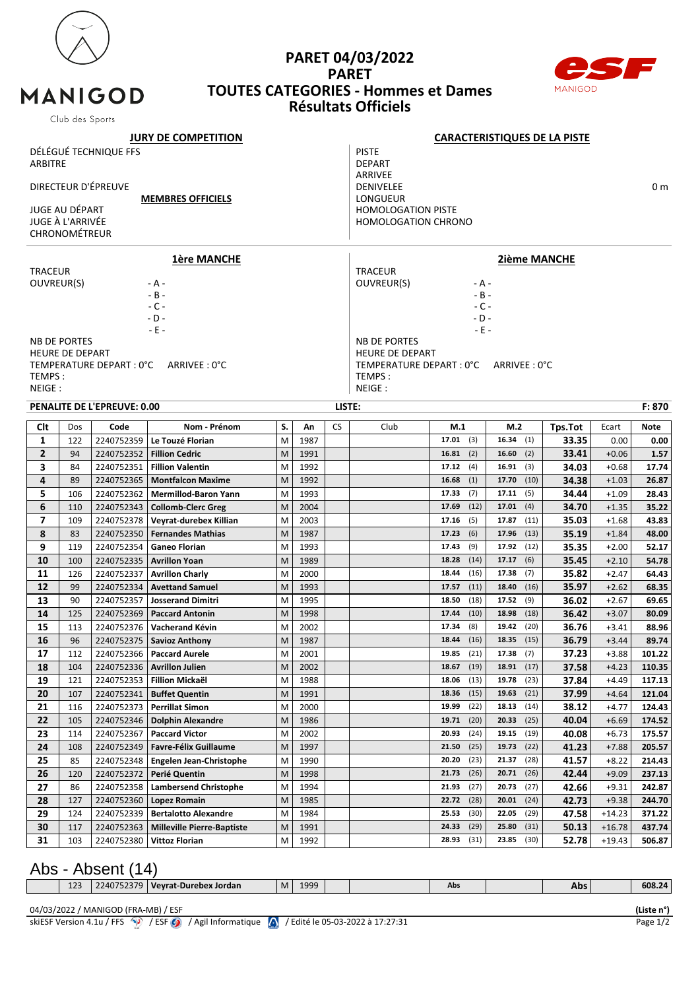

MANIGOD

## **PARET 04/03/2022 PARET TOUTES CATEGORIES - Hommes et Dames Résultats Officiels**



|                                                     | Club des Sports        |                             |                                                    |           |              |                                                         |                                        |                |              |                |             |                |                    |                |  |
|-----------------------------------------------------|------------------------|-----------------------------|----------------------------------------------------|-----------|--------------|---------------------------------------------------------|----------------------------------------|----------------|--------------|----------------|-------------|----------------|--------------------|----------------|--|
| <b>JURY DE COMPETITION</b>                          |                        |                             |                                                    |           |              | <b>CARACTERISTIQUES DE LA PISTE</b>                     |                                        |                |              |                |             |                |                    |                |  |
| DÉLÉGUÉ TECHNIQUE FFS<br><b>ARBITRE</b>             |                        |                             |                                                    |           |              | <b>PISTE</b><br><b>DEPART</b><br>ARRIVEE                |                                        |                |              |                |             |                |                    |                |  |
| DIRECTEUR D'ÉPREUVE<br><b>MEMBRES OFFICIELS</b>     |                        |                             |                                                    |           |              | <b>DENIVELEE</b><br>0 <sub>m</sub><br>LONGUEUR          |                                        |                |              |                |             |                |                    |                |  |
| JUGE AU DÉPART<br>JUGE À L'ARRIVÉE<br>CHRONOMÉTREUR |                        |                             |                                                    |           |              | <b>HOMOLOGATION PISTE</b><br><b>HOMOLOGATION CHRONO</b> |                                        |                |              |                |             |                |                    |                |  |
|                                                     |                        |                             | <b>1ère MANCHE</b>                                 |           |              |                                                         | <b>2ième MANCHE</b>                    |                |              |                |             |                |                    |                |  |
| <b>TRACEUR</b>                                      |                        |                             |                                                    |           |              |                                                         | <b>TRACEUR</b>                         |                |              |                |             |                |                    |                |  |
| <b>OUVREUR(S)</b>                                   |                        |                             | - A -                                              |           |              |                                                         | OUVREUR(S)<br>- A -                    |                |              |                |             |                |                    |                |  |
|                                                     |                        |                             | $- B -$                                            |           |              |                                                         | $- B -$                                |                |              |                |             |                |                    |                |  |
|                                                     |                        |                             | $-C -$<br>$-D -$                                   |           |              |                                                         | $-C -$<br>$-D -$                       |                |              |                |             |                |                    |                |  |
|                                                     |                        |                             | $-E -$                                             |           |              |                                                         | $-E -$                                 |                |              |                |             |                |                    |                |  |
|                                                     | <b>NB DE PORTES</b>    |                             |                                                    |           |              |                                                         | <b>NB DE PORTES</b>                    |                |              |                |             |                |                    |                |  |
|                                                     | <b>HEURE DE DEPART</b> |                             |                                                    |           |              |                                                         | <b>HEURE DE DEPART</b>                 |                |              |                |             |                |                    |                |  |
|                                                     |                        | TEMPERATURE DEPART : 0°C    | ARRIVEE: 0°C                                       |           |              |                                                         | TEMPERATURE DEPART : 0°C ARRIVEE : 0°C |                |              |                |             |                |                    |                |  |
| TEMPS:                                              |                        |                             |                                                    |           |              |                                                         | TEMPS:                                 |                |              |                |             |                |                    |                |  |
| NEIGE:                                              |                        |                             |                                                    |           |              |                                                         | NEIGE:                                 |                |              |                |             |                |                    |                |  |
|                                                     |                        | PENALITE DE L'EPREUVE: 0.00 |                                                    |           |              | LISTE:                                                  |                                        |                |              |                |             |                |                    | F: 870         |  |
| <b>Clt</b>                                          | Dos                    | Code                        | Nom - Prénom                                       | S.        | Αn           | <b>CS</b>                                               | Club                                   | M.1            |              | M.2            |             | Tps.Tot        | Ecart              | Note           |  |
| 1                                                   | 122                    | 2240752359                  | Le Touzé Florian                                   | M         | 1987         |                                                         |                                        | 17.01          | (3)          | 16.34          | (1)         | 33.35          | 0.00               | 0.00           |  |
| $\overline{2}$                                      | 94                     | 2240752352                  | <b>Fillion Cedric</b>                              | M         | 1991         |                                                         |                                        | 16.81          | (2)          | 16.60          | (2)         | 33.41          | $+0.06$            | 1.57           |  |
| 3                                                   | 84                     | 2240752351                  | <b>Fillion Valentin</b>                            | M         | 1992         |                                                         |                                        | 17.12(4)       |              | 16.91          | (3)         | 34.03          | $+0.68$            | 17.74          |  |
| 4                                                   | 89                     | 2240752365                  | <b>Montfalcon Maxime</b>                           | M         | 1992         |                                                         |                                        | 16.68          | (1)          | 17.70          | (10)        | 34.38          | $+1.03$            | 26.87          |  |
| 5                                                   | 106                    | 2240752362                  | <b>Mermillod-Baron Yann</b>                        | M         | 1993         |                                                         |                                        | 17.33          | (7)          | 17.11          | (5)         | 34.44          | $+1.09$            | 28.43          |  |
| 6                                                   | 110                    | 2240752343                  | <b>Collomb-Clerc Greg</b>                          | M         | 2004         |                                                         |                                        | 17.69          | (12)         | 17.01          | (4)         | 34.70          | $+1.35$            | 35.22          |  |
| 7                                                   | 109                    | 2240752378                  | Veyrat-durebex Killian                             | M         | 2003         |                                                         |                                        | 17.16          | (5)          | 17.87          | (11)        | 35.03          | $+1.68$            | 43.83          |  |
| 8                                                   | 83                     | 2240752350                  | <b>Fernandes Mathias</b>                           | M         | 1987         |                                                         |                                        | 17.23          | (6)          | 17.96          | (13)        | 35.19          | $+1.84$            | 48.00          |  |
| 9                                                   | 119                    | 2240752354                  | <b>Ganeo Florian</b>                               | M         | 1993         |                                                         |                                        | 17.43          | (9)          | 17.92          | (12)        | 35.35          | $+2.00$            | 52.17          |  |
| 10                                                  | 100                    | 2240752335                  | <b>Avrillon Yoan</b>                               | M         | 1989         |                                                         |                                        | 18.28          | (14)         | 17.17          | (6)         | 35.45          | $+2.10$            | 54.78          |  |
| 11                                                  | 126                    | 2240752337                  | <b>Avrillon Charly</b>                             | M         | 2000         |                                                         |                                        | 18.44          | (16)         | 17.38          | (7)         | 35.82          | $+2.47$            | 64.43          |  |
| 12                                                  | 99                     | 2240752334                  | <b>Avettand Samuel</b>                             | M         | 1993         |                                                         |                                        | 17.57<br>18.50 | (11)<br>(18) | 18.40          | (16)<br>(9) | 35.97          | $+2.62$            | 68.35          |  |
| 13<br>14                                            | 90<br>125              | 2240752357<br>2240752369    | <b>Josserand Dimitri</b><br><b>Paccard Antonin</b> | M<br>M    | 1995<br>1998 |                                                         |                                        | 17.44          | (10)         | 17.52<br>18.98 | (18)        | 36.02<br>36.42 | $+2.67$<br>$+3.07$ | 69.65<br>80.09 |  |
| 15                                                  | 113                    | 2240752376                  | Vacherand Kévin                                    | м         | 2002         |                                                         |                                        | 17.34          | (8)          | 19.42 (20)     |             | 36.76          | $+3.41$            | 88.96          |  |
| ${\bf 16}$                                          | 96                     |                             | 2240752375   Savioz Anthony                        | ${\sf M}$ | 1987         |                                                         |                                        | 18.44 (16)     |              | $18.35$ (15)   |             | 36.79          | $+3.44$            | 89.74          |  |
| 17                                                  | 112                    | 2240752366                  | <b>Paccard Aurele</b>                              | M         | 2001         |                                                         |                                        | 19.85          | (21)         | 17.38          | (7)         | 37.23          | $+3.88$            | 101.22         |  |
| 18                                                  | 104                    | 2240752336                  | <b>Avrillon Julien</b>                             | M         | 2002         |                                                         |                                        | 18.67          | (19)         | 18.91          | (17)        | 37.58          | $+4.23$            | 110.35         |  |
| 19                                                  | 121                    | 2240752353                  | <b>Fillion Mickaël</b>                             | М         | 1988         |                                                         |                                        | 18.06          | (13)         | 19.78          | (23)        | 37.84          | $+4.49$            | 117.13         |  |
| 20                                                  | 107                    | 2240752341                  | <b>Buffet Quentin</b>                              | M         | 1991         |                                                         |                                        | 18.36          | (15)         | 19.63          | (21)        | 37.99          | $+4.64$            | 121.04         |  |
| 21                                                  | 116                    | 2240752373                  | <b>Perrillat Simon</b>                             | Μ         | 2000         |                                                         |                                        | 19.99          | (22)         | 18.13          | (14)        | 38.12          | $+4.77$            | 124.43         |  |
| 22                                                  | 105                    | 2240752346                  | <b>Dolphin Alexandre</b>                           | M         | 1986         |                                                         |                                        | 19.71          | (20)         | 20.33          | (25)        | 40.04          | $+6.69$            | 174.52         |  |
| 23                                                  | 114                    | 2240752367                  | <b>Paccard Victor</b>                              | Μ         | 2002         |                                                         |                                        | 20.93          | (24)         | 19.15          | (19)        | 40.08          | $+6.73$            | 175.57         |  |
| 24                                                  | 108                    | 2240752349                  | <b>Favre-Félix Guillaume</b>                       | М         | 1997         |                                                         |                                        | 21.50          | (25)         | 19.73          | (22)        | 41.23          | $+7.88$            | 205.57         |  |
| 25                                                  | 85                     | 2240752348                  | Engelen Jean-Christophe                            | М         | 1990         |                                                         |                                        | 20.20          | (23)         | 21.37          | (28)        | 41.57          | $+8.22$            | 214.43         |  |
| 26                                                  | 120                    | 2240752372                  | Perié Quentin                                      | M         | 1998         |                                                         |                                        | 21.73          | (26)         | 20.71          | (26)        | 42.44          | $+9.09$            | 237.13         |  |
| 27                                                  | 86                     | 2240752358                  | <b>Lambersend Christophe</b>                       | M         | 1994         |                                                         |                                        | 21.93          | (27)         | 20.73          | (27)        | 42.66          | $+9.31$            | 242.87         |  |
| 28                                                  | 127                    | 2240752360                  | <b>Lopez Romain</b>                                | M         | 1985         |                                                         |                                        | 22.72          | (28)         | 20.01          | (24)        | 42.73          | $+9.38$            | 244.70         |  |
| 29                                                  | 124                    | 2240752339                  | <b>Bertalotto Alexandre</b>                        | М         | 1984         |                                                         |                                        | 25.53          | (30)         | 22.05          | (29)        | 47.58          | $+14.23$           | 371.22         |  |
| 30                                                  | 117                    | 2240752363                  | <b>Milleville Pierre-Baptiste</b>                  | М         | 1991         |                                                         |                                        | 24.33          | (29)         | 25.80          | (31)        | 50.13          | $+16.78$           | 437.74         |  |
| 31                                                  | 103                    | 2240752380                  | Vittoz Florian                                     | М         | 1992         |                                                         |                                        | 28.93          | (31)         | 23.85          | (30)        | 52.78          | $+19.43$           | 506.87         |  |
|                                                     |                        |                             |                                                    |           |              |                                                         |                                        |                |              |                |             |                |                    |                |  |

## Abs - Absent  $(14)$

| 123 | 224075<br>7 U | Vevrat-Durebex Jordan | <b>M</b> | 1999 |  | Abs | Abs | 608.24 |
|-----|---------------|-----------------------|----------|------|--|-----|-----|--------|
|     |               |                       |          |      |  |     |     |        |